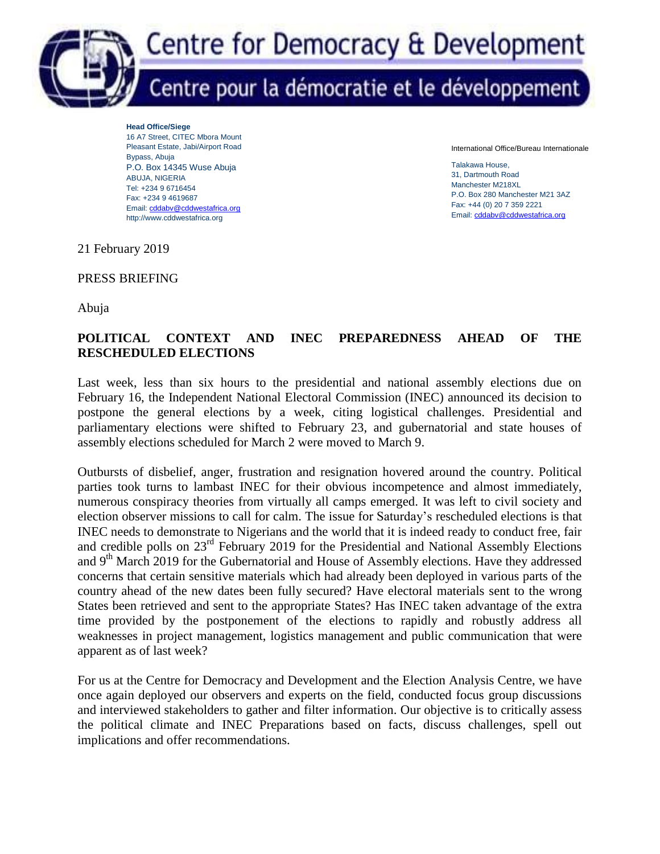

**Head Office/Siege** 16 A7 Street, CITEC Mbora Mount Pleasant Estate, Jabi/Airport Road Bypass, Abuja P.O. Box 14345 Wuse Abuja ABUJA, NIGERIA Tel: +234 9 6716454 Fax: +234 9 4619687 Email[: cddabv@cddwestafrica.org](mailto:cddabv@cddwestafrica.org) http://www.cddwestafrica.org

International Office/Bureau Internationale

Talakawa House, 31, Dartmouth Road Manchester M218XL P.O. Box 280 Manchester M21 3AZ Fax: +44 (0) 20 7 359 2221 Email[: cddabv@cddwestafrica.org](mailto:cddabv@cddwestafrica.org)

21 February 2019

PRESS BRIEFING

Abuja

# **POLITICAL CONTEXT AND INEC PREPAREDNESS AHEAD OF THE RESCHEDULED ELECTIONS**

Last week, less than six hours to the presidential and national assembly elections due on February 16, the Independent National Electoral Commission (INEC) announced its decision to postpone the general elections by a week, citing logistical challenges. Presidential and parliamentary elections were shifted to February 23, and gubernatorial and state houses of assembly elections scheduled for March 2 were moved to March 9.

Outbursts of disbelief, anger, frustration and resignation hovered around the country. Political parties took turns to lambast INEC for their obvious incompetence and almost immediately, numerous conspiracy theories from virtually all camps emerged. It was left to civil society and election observer missions to call for calm. The issue for Saturday's rescheduled elections is that INEC needs to demonstrate to Nigerians and the world that it is indeed ready to conduct free, fair and credible polls on 23<sup>rd</sup> February 2019 for the Presidential and National Assembly Elections and 9<sup>th</sup> March 2019 for the Gubernatorial and House of Assembly elections. Have they addressed concerns that certain sensitive materials which had already been deployed in various parts of the country ahead of the new dates been fully secured? Have electoral materials sent to the wrong States been retrieved and sent to the appropriate States? Has INEC taken advantage of the extra time provided by the postponement of the elections to rapidly and robustly address all weaknesses in project management, logistics management and public communication that were apparent as of last week?

For us at the Centre for Democracy and Development and the Election Analysis Centre, we have once again deployed our observers and experts on the field, conducted focus group discussions and interviewed stakeholders to gather and filter information. Our objective is to critically assess the political climate and INEC Preparations based on facts, discuss challenges, spell out implications and offer recommendations.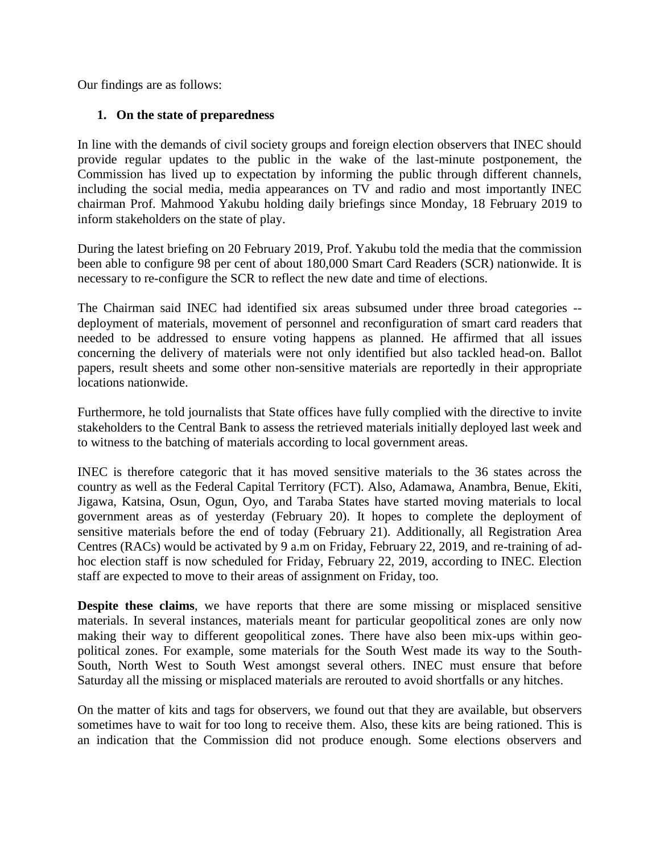Our findings are as follows:

# **1. On the state of preparedness**

In line with the demands of civil society groups and foreign election observers that INEC should provide regular updates to the public in the wake of the last-minute postponement, the Commission has lived up to expectation by informing the public through different channels, including the social media, media appearances on TV and radio and most importantly INEC chairman Prof. Mahmood Yakubu holding daily briefings since Monday, 18 February 2019 to inform stakeholders on the state of play.

During the latest briefing on 20 February 2019, Prof. Yakubu told the media that the commission been able to configure 98 per cent of about 180,000 Smart Card Readers (SCR) nationwide. It is necessary to re-configure the SCR to reflect the new date and time of elections.

The Chairman said INEC had identified six areas subsumed under three broad categories - deployment of materials, movement of personnel and reconfiguration of smart card readers that needed to be addressed to ensure voting happens as planned. He affirmed that all issues concerning the delivery of materials were not only identified but also tackled head-on. Ballot papers, result sheets and some other non-sensitive materials are reportedly in their appropriate locations nationwide.

Furthermore, he told journalists that State offices have fully complied with the directive to invite stakeholders to the Central Bank to assess the retrieved materials initially deployed last week and to witness to the batching of materials according to local government areas.

INEC is therefore categoric that it has moved sensitive materials to the 36 states across the country as well as the Federal Capital Territory (FCT). Also, Adamawa, Anambra, Benue, Ekiti, Jigawa, Katsina, Osun, Ogun, Oyo, and Taraba States have started moving materials to local government areas as of yesterday (February 20). It hopes to complete the deployment of sensitive materials before the end of today (February 21). Additionally, all Registration Area Centres (RACs) would be activated by 9 a.m on Friday, February 22, 2019, and re-training of adhoc election staff is now scheduled for Friday, February 22, 2019, according to INEC. Election staff are expected to move to their areas of assignment on Friday, too.

**Despite these claims**, we have reports that there are some missing or misplaced sensitive materials. In several instances, materials meant for particular geopolitical zones are only now making their way to different geopolitical zones. There have also been mix-ups within geopolitical zones. For example, some materials for the South West made its way to the South-South, North West to South West amongst several others. INEC must ensure that before Saturday all the missing or misplaced materials are rerouted to avoid shortfalls or any hitches.

On the matter of kits and tags for observers, we found out that they are available, but observers sometimes have to wait for too long to receive them. Also, these kits are being rationed. This is an indication that the Commission did not produce enough. Some elections observers and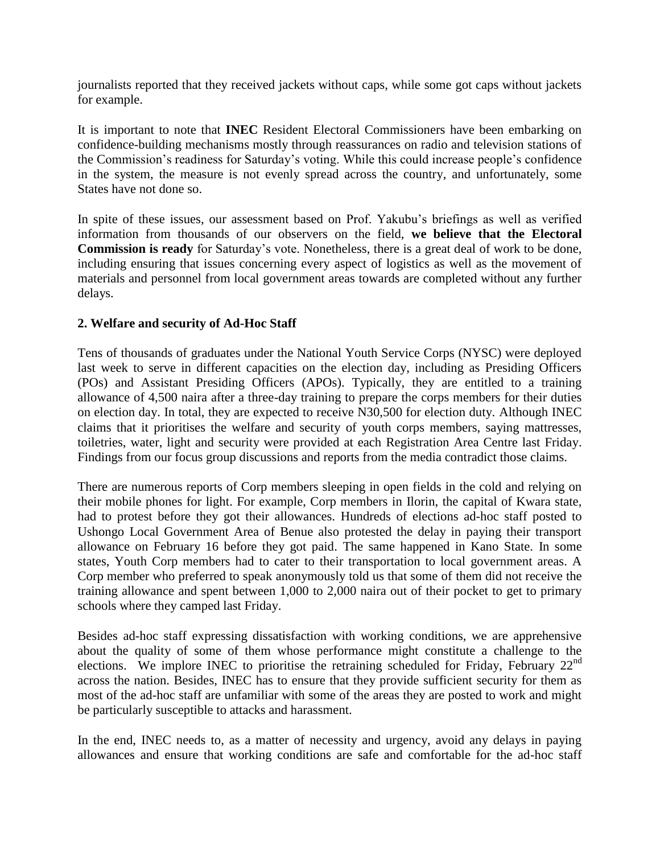journalists reported that they received jackets without caps, while some got caps without jackets for example.

It is important to note that **INEC** Resident Electoral Commissioners have been embarking on confidence-building mechanisms mostly through reassurances on radio and television stations of the Commission's readiness for Saturday's voting. While this could increase people's confidence in the system, the measure is not evenly spread across the country, and unfortunately, some States have not done so.

In spite of these issues, our assessment based on Prof. Yakubu's briefings as well as verified information from thousands of our observers on the field, **we believe that the Electoral Commission is ready** for Saturday's vote. Nonetheless, there is a great deal of work to be done, including ensuring that issues concerning every aspect of logistics as well as the movement of materials and personnel from local government areas towards are completed without any further delays.

# **2. Welfare and security of Ad-Hoc Staff**

Tens of thousands of graduates under the National Youth Service Corps (NYSC) were deployed last week to serve in different capacities on the election day, including as Presiding Officers (POs) and Assistant Presiding Officers (APOs). Typically, they are entitled to a training allowance of 4,500 naira after a three-day training to prepare the corps members for their duties on election day. In total, they are expected to receive N30,500 for election duty. Although INEC claims that it prioritises the welfare and security of youth corps members, saying mattresses, toiletries, water, light and security were provided at each Registration Area Centre last Friday. Findings from our focus group discussions and reports from the media contradict those claims.

There are numerous reports of Corp members sleeping in open fields in the cold and relying on their mobile phones for light. For example, Corp members in Ilorin, the capital of Kwara state, had to protest before they got their allowances. Hundreds of elections ad-hoc staff posted to Ushongo Local Government Area of Benue also protested the delay in paying their transport allowance on February 16 before they got paid. The same happened in Kano State. In some states, Youth Corp members had to cater to their transportation to local government areas. A Corp member who preferred to speak anonymously told us that some of them did not receive the training allowance and spent between 1,000 to 2,000 naira out of their pocket to get to primary schools where they camped last Friday.

Besides ad-hoc staff expressing dissatisfaction with working conditions, we are apprehensive about the quality of some of them whose performance might constitute a challenge to the elections. We implore INEC to prioritise the retraining scheduled for Friday, February 22<sup>nd</sup> across the nation. Besides, INEC has to ensure that they provide sufficient security for them as most of the ad-hoc staff are unfamiliar with some of the areas they are posted to work and might be particularly susceptible to attacks and harassment.

In the end, INEC needs to, as a matter of necessity and urgency, avoid any delays in paying allowances and ensure that working conditions are safe and comfortable for the ad-hoc staff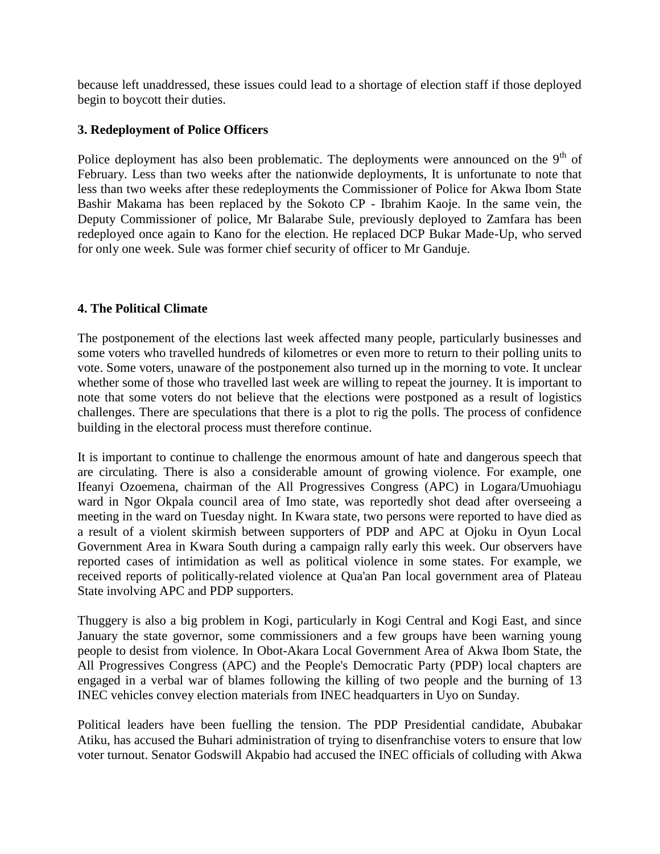because left unaddressed, these issues could lead to a shortage of election staff if those deployed begin to boycott their duties.

## **3. Redeployment of Police Officers**

Police deployment has also been problematic. The deployments were announced on the  $9<sup>th</sup>$  of February. Less than two weeks after the nationwide deployments, It is unfortunate to note that less than two weeks after these redeployments the Commissioner of Police for Akwa Ibom State Bashir Makama has been replaced by the Sokoto CP - Ibrahim Kaoje. In the same vein, the Deputy Commissioner of police, Mr Balarabe Sule, previously deployed to Zamfara has been redeployed once again to Kano for the election. He replaced DCP Bukar Made-Up, who served for only one week. Sule was former chief security of officer to Mr Ganduje.

### **4. The Political Climate**

The postponement of the elections last week affected many people, particularly businesses and some voters who travelled hundreds of kilometres or even more to return to their polling units to vote. Some voters, unaware of the postponement also turned up in the morning to vote. It unclear whether some of those who travelled last week are willing to repeat the journey. It is important to note that some voters do not believe that the elections were postponed as a result of logistics challenges. There are speculations that there is a plot to rig the polls. The process of confidence building in the electoral process must therefore continue.

It is important to continue to challenge the enormous amount of hate and dangerous speech that are circulating. There is also a considerable amount of growing violence. For example, one Ifeanyi Ozoemena, chairman of the All Progressives Congress (APC) in Logara/Umuohiagu ward in Ngor Okpala council area of Imo state, was reportedly shot dead after overseeing a meeting in the ward on Tuesday night. In Kwara state, two persons were reported to have died as a result of a violent skirmish between supporters of PDP and APC at Ojoku in Oyun Local Government Area in Kwara South during a campaign rally early this week. Our observers have reported cases of intimidation as well as political violence in some states. For example, we received reports of politically-related violence at Qua'an Pan local government area of Plateau State involving APC and PDP supporters.

Thuggery is also a big problem in Kogi, particularly in Kogi Central and Kogi East, and since January the state governor, some commissioners and a few groups have been warning young people to desist from violence. In Obot-Akara Local Government Area of Akwa Ibom State, the All Progressives Congress (APC) and the People's Democratic Party (PDP) local chapters are engaged in a verbal war of blames following the killing of two people and the burning of 13 INEC vehicles convey election materials from INEC headquarters in Uyo on Sunday.

Political leaders have been fuelling the tension. The PDP Presidential candidate, Abubakar Atiku, has accused the Buhari administration of trying to disenfranchise voters to ensure that low voter turnout. Senator Godswill Akpabio had accused the INEC officials of colluding with Akwa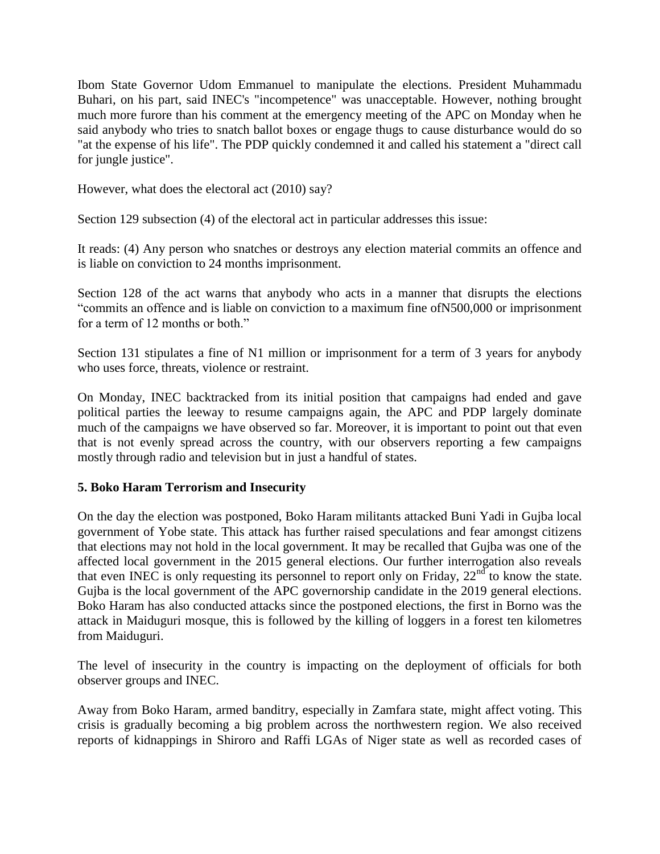Ibom State Governor Udom Emmanuel to manipulate the elections. President Muhammadu Buhari, on his part, said INEC's "incompetence" was unacceptable. However, nothing brought much more furore than his comment at the emergency meeting of the APC on Monday when he said anybody who tries to snatch ballot boxes or engage thugs to cause disturbance would do so "at the expense of his life". The PDP quickly condemned it and called his statement a "direct call for jungle justice".

However, what does the electoral act (2010) say?

Section 129 subsection (4) of the electoral act in particular addresses this issue:

It reads: (4) Any person who snatches or destroys any election material commits an offence and is liable on conviction to 24 months imprisonment.

Section 128 of the act warns that anybody who acts in a manner that disrupts the elections "commits an offence and is liable on conviction to a maximum fine ofN500,000 or imprisonment for a term of 12 months or both."

Section 131 stipulates a fine of N1 million or imprisonment for a term of 3 years for anybody who uses force, threats, violence or restraint.

On Monday, INEC backtracked from its initial position that campaigns had ended and gave political parties the leeway to resume campaigns again, the APC and PDP largely dominate much of the campaigns we have observed so far. Moreover, it is important to point out that even that is not evenly spread across the country, with our observers reporting a few campaigns mostly through radio and television but in just a handful of states.

### **5. Boko Haram Terrorism and Insecurity**

On the day the election was postponed, Boko Haram militants attacked Buni Yadi in Gujba local government of Yobe state. This attack has further raised speculations and fear amongst citizens that elections may not hold in the local government. It may be recalled that Gujba was one of the affected local government in the 2015 general elections. Our further interrogation also reveals that even INEC is only requesting its personnel to report only on Friday,  $22<sup>nd</sup>$  to know the state. Gujba is the local government of the APC governorship candidate in the 2019 general elections. Boko Haram has also conducted attacks since the postponed elections, the first in Borno was the attack in Maiduguri mosque, this is followed by the killing of loggers in a forest ten kilometres from Maiduguri.

The level of insecurity in the country is impacting on the deployment of officials for both observer groups and INEC.

Away from Boko Haram, armed banditry, especially in Zamfara state, might affect voting. This crisis is gradually becoming a big problem across the northwestern region. We also received reports of kidnappings in Shiroro and Raffi LGAs of Niger state as well as recorded cases of